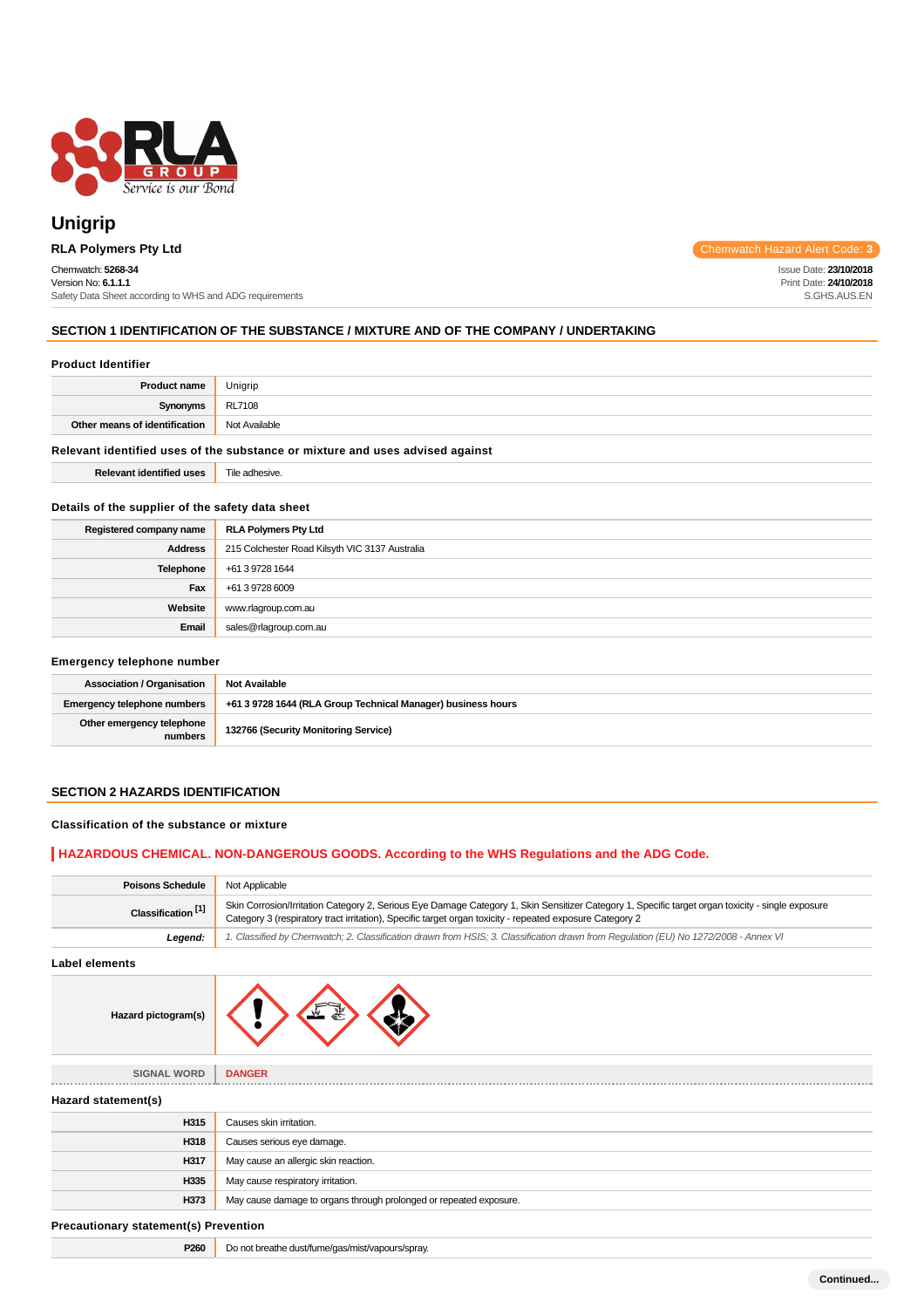

# **Unigrip**

### Chemwatch: **5268-34**

Version No: **6.1.1.1** Safety Data Sheet according to WHS and ADG requirements

**RLA Polymers Pty Ltd** Chemwatch Hazard Alert Code: **3** 

Issue Date: **23/10/2018** Print Date: **24/10/2018** S.GHS.AUS.EN

### **SECTION 1 IDENTIFICATION OF THE SUBSTANCE / MIXTURE AND OF THE COMPANY / UNDERTAKING**

#### **Product Identifier**

| <b>Product name</b>                                                           | Unigrip |  |
|-------------------------------------------------------------------------------|---------|--|
| Synonyms                                                                      | RL7108  |  |
| Other means of identification<br>Not Available                                |         |  |
| Relevant identified uses of the substance or mixture and uses advised against |         |  |

**Relevant identified uses** Tile adhesive.

**Details of the supplier of the safety data sheet**

# **Registered company name RLA Polymers Pty Ltd Address** 215 Colchester Road Kilsyth VIC 3137 Australia **Telephone** +61 3 9728 1644 **Fax** +61 3 9728 6009 **Website** www.rlagroup.com.au **Email** sales@rlagroup.com.au

#### **Emergency telephone number**

| <b>Association / Organisation</b>                                            | <b>Not Available</b>                                         |  |
|------------------------------------------------------------------------------|--------------------------------------------------------------|--|
| Emergency telephone numbers                                                  | +61 3 9728 1644 (RLA Group Technical Manager) business hours |  |
| Other emergency telephone<br>132766 (Security Monitoring Service)<br>numbers |                                                              |  |

### **SECTION 2 HAZARDS IDENTIFICATION**

### **Classification of the substance or mixture**

**Hazard pictogram** 

#### **HAZARDOUS CHEMICAL. NON-DANGEROUS GOODS. According to the WHS Regulations and the ADG Code.**

| <b>Poisons Schedule</b>                                                                                                                                                                                                                                                                        | Not Applicable                                                                                                                      |  |
|------------------------------------------------------------------------------------------------------------------------------------------------------------------------------------------------------------------------------------------------------------------------------------------------|-------------------------------------------------------------------------------------------------------------------------------------|--|
| Skin Corrosion/Irritation Category 2, Serious Eye Damage Category 1, Skin Sensitizer Category 1, Specific target organ toxicity - single exposure<br>Classification <sup>[1]</sup><br>Category 3 (respiratory tract irritation), Specific target organ toxicity - repeated exposure Category 2 |                                                                                                                                     |  |
| Legend:                                                                                                                                                                                                                                                                                        | 1. Classified by Chemwatch; 2. Classification drawn from HSIS; 3. Classification drawn from Requlation (EU) No 1272/2008 - Annex VI |  |

**Label elements**

| n(s) |  | ≝ |  |
|------|--|---|--|
|------|--|---|--|

| <b>SIGNAL WORD</b>                           | <b>DANGER</b>                                                      |  |
|----------------------------------------------|--------------------------------------------------------------------|--|
| Hazard statement(s)                          |                                                                    |  |
| H315                                         | Causes skin irritation.                                            |  |
| H318                                         | Causes serious eye damage.                                         |  |
| H317                                         | May cause an allergic skin reaction.                               |  |
| H335                                         | May cause respiratory irritation.                                  |  |
| H373                                         | May cause damage to organs through prolonged or repeated exposure. |  |
| <b>Precautionary statement(s) Prevention</b> |                                                                    |  |

**P260** Do not breathe dust/fume/gas/mist/vapours/spray.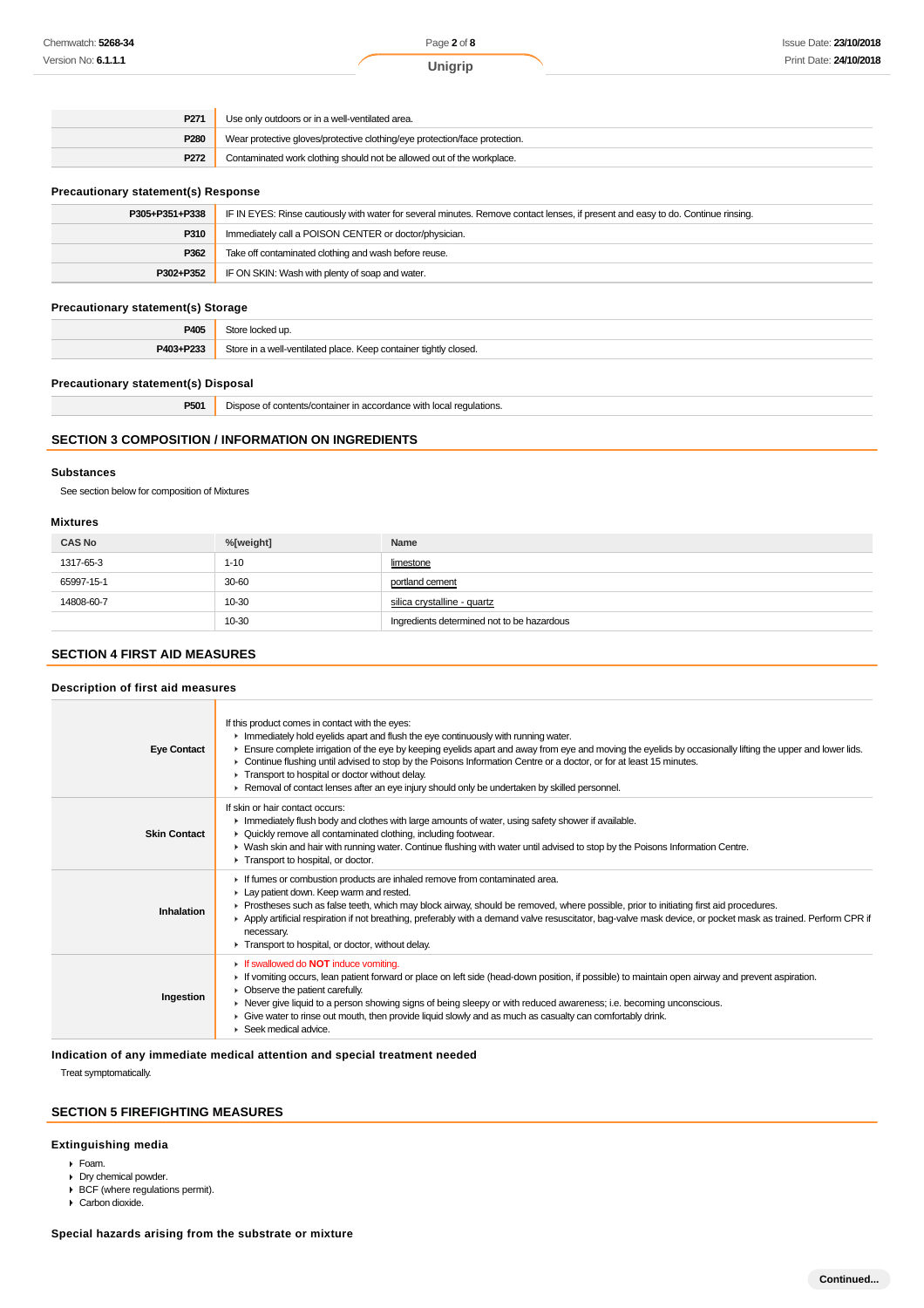| P <sub>271</sub>                                                               | Use only outdoors or in a well-ventilated area.                            |  |
|--------------------------------------------------------------------------------|----------------------------------------------------------------------------|--|
| P280                                                                           | Wear protective gloves/protective clothing/eye protection/face protection. |  |
| P272<br>Contaminated work clothing should not be allowed out of the workplace. |                                                                            |  |

#### **Precautionary statement(s) Response**

| P305+P351+P338                                               | IF IN EYES: Rinse cautiously with water for several minutes. Remove contact lenses, if present and easy to do. Continue rinsing. |  |
|--------------------------------------------------------------|----------------------------------------------------------------------------------------------------------------------------------|--|
| P310                                                         | Immediately call a POISON CENTER or doctor/physician.                                                                            |  |
| P362                                                         | Take off contaminated clothing and wash before reuse.                                                                            |  |
| IF ON SKIN: Wash with plenty of soap and water.<br>P302+P352 |                                                                                                                                  |  |

#### **Precautionary statement(s) Storage**

|           | . .                                                                          |
|-----------|------------------------------------------------------------------------------|
| P405      | .<br>:ked up                                                                 |
| P403+P233 | Store in<br>n a well-ventilated place. Keep container tightly closed.<br>יור |

#### **Precautionary statement(s) Disposal**

| P501 | Dispose of contents/container in accordance with local regulations. |
|------|---------------------------------------------------------------------|
|------|---------------------------------------------------------------------|

### **SECTION 3 COMPOSITION / INFORMATION ON INGREDIENTS**

### **Substances**

See section below for composition of Mixtures

#### **Mixtures**

| <b>CAS No</b> | %[weight] | Name                                       |
|---------------|-----------|--------------------------------------------|
| 1317-65-3     | $1 - 10$  | limestone                                  |
| 65997-15-1    | 30-60     | portland cement                            |
| 14808-60-7    | 10-30     | silica crystalline - quartz                |
|               | 10-30     | Ingredients determined not to be hazardous |

### **SECTION 4 FIRST AID MEASURES**

#### **Description of first aid measures**

| <b>Eye Contact</b>  | If this product comes in contact with the eyes:<br>In Immediately hold eyelids apart and flush the eye continuously with running water.<br>Ensure complete irrigation of the eye by keeping eyelids apart and away from eye and moving the eyelids by occasionally lifting the upper and lower lids.<br>► Continue flushing until advised to stop by the Poisons Information Centre or a doctor, or for at least 15 minutes.<br>Transport to hospital or doctor without delay.<br>► Removal of contact lenses after an eye injury should only be undertaken by skilled personnel. |
|---------------------|-----------------------------------------------------------------------------------------------------------------------------------------------------------------------------------------------------------------------------------------------------------------------------------------------------------------------------------------------------------------------------------------------------------------------------------------------------------------------------------------------------------------------------------------------------------------------------------|
| <b>Skin Contact</b> | If skin or hair contact occurs:<br>In mediately flush body and clothes with large amounts of water, using safety shower if available.<br>• Quickly remove all contaminated clothing, including footwear.<br>• Wash skin and hair with running water. Continue flushing with water until advised to stop by the Poisons Information Centre.<br>Transport to hospital, or doctor.                                                                                                                                                                                                   |
| Inhalation          | If fumes or combustion products are inhaled remove from contaminated area.<br>Lay patient down. Keep warm and rested.<br>Prostheses such as false teeth, which may block airway, should be removed, where possible, prior to initiating first aid procedures.<br>▶ Apply artificial respiration if not breathing, preferably with a demand valve resuscitator, bag-valve mask device, or pocket mask as trained. Perform CPR if<br>necessary.<br>Transport to hospital, or doctor, without delay.                                                                                 |
| Ingestion           | If swallowed do NOT induce vomiting.<br>If vomiting occurs, lean patient forward or place on left side (head-down position, if possible) to maintain open airway and prevent aspiration.<br>• Observe the patient carefully.<br>▶ Never give liquid to a person showing signs of being sleepy or with reduced awareness; i.e. becoming unconscious.<br>• Give water to rinse out mouth, then provide liquid slowly and as much as casualty can comfortably drink.<br>$\blacktriangleright$ Seek medical advice.                                                                   |

### **Indication of any immediate medical attention and special treatment needed**

Treat symptomatically.

### **SECTION 5 FIREFIGHTING MEASURES**

### **Extinguishing media**

- Foam.
- Dry chemical powder.
- BCF (where regulations permit).
- Carbon dioxide.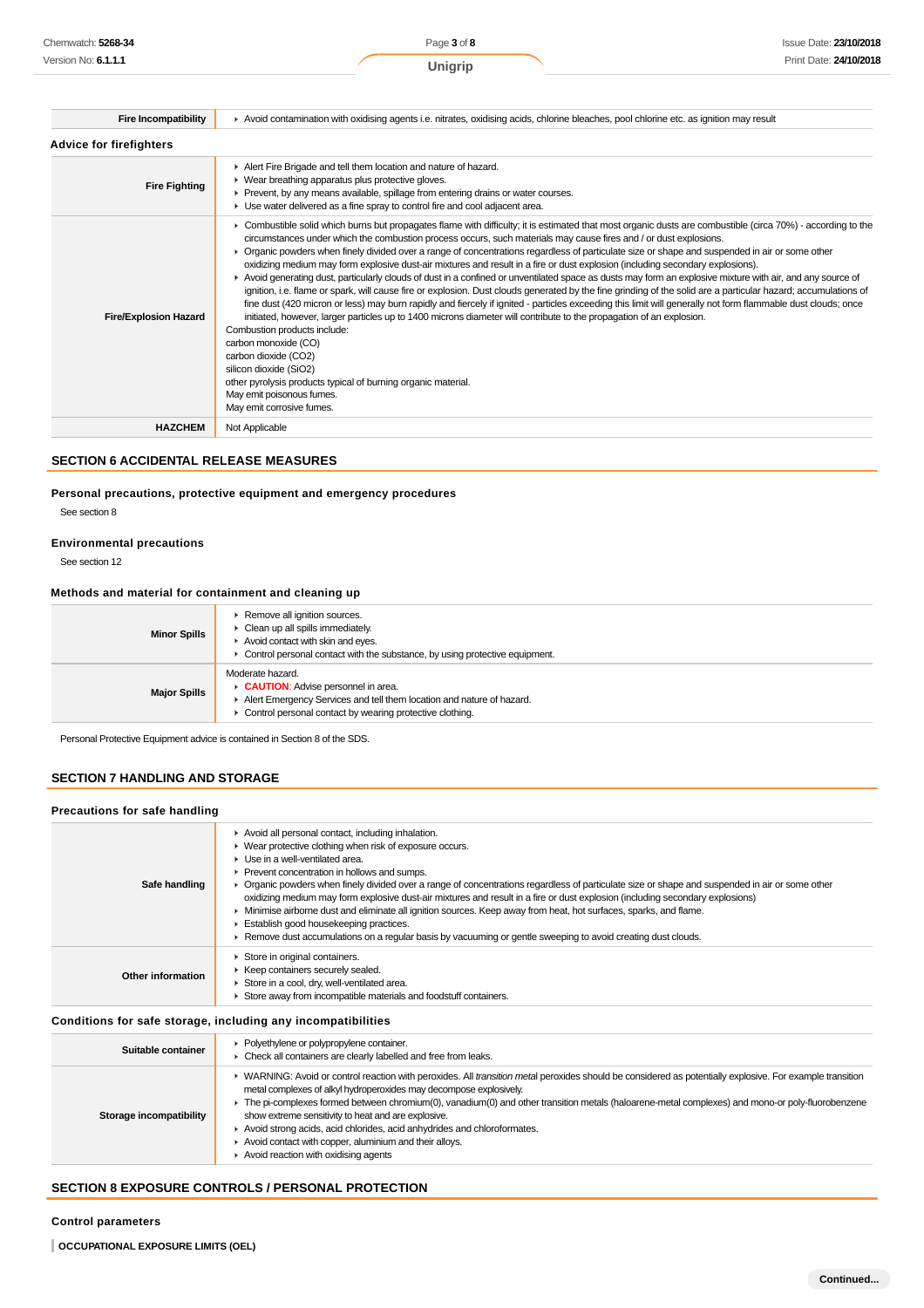| <b>Fire Incompatibility</b>    | Avoid contamination with oxidising agents i.e. nitrates, oxidising acids, chlorine bleaches, pool chlorine etc. as ignition may result                                                                                                                                                                                                                                                                                                                                                                                                                                                                                                                                                                                                                                                                                                                                                                                                                                                                                                                                                                                                                                                                                                                                                                                                                                                                                               |
|--------------------------------|--------------------------------------------------------------------------------------------------------------------------------------------------------------------------------------------------------------------------------------------------------------------------------------------------------------------------------------------------------------------------------------------------------------------------------------------------------------------------------------------------------------------------------------------------------------------------------------------------------------------------------------------------------------------------------------------------------------------------------------------------------------------------------------------------------------------------------------------------------------------------------------------------------------------------------------------------------------------------------------------------------------------------------------------------------------------------------------------------------------------------------------------------------------------------------------------------------------------------------------------------------------------------------------------------------------------------------------------------------------------------------------------------------------------------------------|
| <b>Advice for firefighters</b> |                                                                                                                                                                                                                                                                                                                                                                                                                                                                                                                                                                                                                                                                                                                                                                                                                                                                                                                                                                                                                                                                                                                                                                                                                                                                                                                                                                                                                                      |
| <b>Fire Fighting</b>           | Alert Fire Brigade and tell them location and nature of hazard.<br>• Wear breathing apparatus plus protective gloves.<br>► Prevent, by any means available, spillage from entering drains or water courses.<br>• Use water delivered as a fine spray to control fire and cool adjacent area.                                                                                                                                                                                                                                                                                                                                                                                                                                                                                                                                                                                                                                                                                                                                                                                                                                                                                                                                                                                                                                                                                                                                         |
| <b>Fire/Explosion Hazard</b>   | ► Combustible solid which burns but propagates flame with difficulty; it is estimated that most organic dusts are combustible (circa 70%) - according to the<br>circumstances under which the combustion process occurs, such materials may cause fires and / or dust explosions.<br>• Organic powders when finely divided over a range of concentrations regardless of particulate size or shape and suspended in air or some other<br>oxidizing medium may form explosive dust-air mixtures and result in a fire or dust explosion (including secondary explosions).<br>► Avoid generating dust, particularly clouds of dust in a confined or unventilated space as dusts may form an explosive mixture with air, and any source of<br>ignition, i.e. flame or spark, will cause fire or explosion. Dust clouds generated by the fine grinding of the solid are a particular hazard; accumulations of<br>fine dust (420 micron or less) may burn rapidly and fiercely if ignited - particles exceeding this limit will generally not form flammable dust clouds; once<br>initiated, however, larger particles up to 1400 microns diameter will contribute to the propagation of an explosion.<br>Combustion products include:<br>carbon monoxide (CO)<br>carbon dioxide (CO2)<br>silicon dioxide (SiO2)<br>other pyrolysis products typical of burning organic material.<br>May emit poisonous fumes.<br>May emit corrosive fumes. |
| <b>HAZCHEM</b>                 | Not Applicable                                                                                                                                                                                                                                                                                                                                                                                                                                                                                                                                                                                                                                                                                                                                                                                                                                                                                                                                                                                                                                                                                                                                                                                                                                                                                                                                                                                                                       |

**SECTION 6 ACCIDENTAL RELEASE MEASURES**

### **Personal precautions, protective equipment and emergency procedures**

See section 8

#### **Environmental precautions**

See section 12

#### **Methods and material for containment and cleaning up**

| <b>Minor Spills</b> | Remove all ignition sources.<br>Clean up all spills immediately.<br>Avoid contact with skin and eyes.<br>• Control personal contact with the substance, by using protective equipment.      |
|---------------------|---------------------------------------------------------------------------------------------------------------------------------------------------------------------------------------------|
| <b>Major Spills</b> | Moderate hazard.<br>CAUTION: Advise personnel in area.<br>Alert Emergency Services and tell them location and nature of hazard.<br>Control personal contact by wearing protective clothing. |

Personal Protective Equipment advice is contained in Section 8 of the SDS.

## **SECTION 7 HANDLING AND STORAGE**

#### **Precautions for safe handling**

| Safe handling     | Avoid all personal contact, including inhalation.<br>• Wear protective clothing when risk of exposure occurs.<br>$\blacktriangleright$ Use in a well-ventilated area.<br>▶ Prevent concentration in hollows and sumps.<br>▶ Organic powders when finely divided over a range of concentrations regardless of particulate size or shape and suspended in air or some other<br>oxidizing medium may form explosive dust-air mixtures and result in a fire or dust explosion (including secondary explosions)<br>Minimise airborne dust and eliminate all ignition sources. Keep away from heat, hot surfaces, sparks, and flame.<br>Establish good housekeeping practices.<br>► Remove dust accumulations on a regular basis by vacuuming or gentle sweeping to avoid creating dust clouds. |
|-------------------|-------------------------------------------------------------------------------------------------------------------------------------------------------------------------------------------------------------------------------------------------------------------------------------------------------------------------------------------------------------------------------------------------------------------------------------------------------------------------------------------------------------------------------------------------------------------------------------------------------------------------------------------------------------------------------------------------------------------------------------------------------------------------------------------|
| Other information | Store in original containers.<br>▶ Keep containers securely sealed.<br>Store in a cool, dry, well-ventilated area.<br>Store away from incompatible materials and foodstuff containers.                                                                                                                                                                                                                                                                                                                                                                                                                                                                                                                                                                                                    |

### **Conditions for safe storage, including any incompatibilities**

| Suitable container      | • Polyethylene or polypropylene container.<br>Check all containers are clearly labelled and free from leaks.                                                                                                                                                                                                                                                                                                                                                                                                                                                                                                           |
|-------------------------|------------------------------------------------------------------------------------------------------------------------------------------------------------------------------------------------------------------------------------------------------------------------------------------------------------------------------------------------------------------------------------------------------------------------------------------------------------------------------------------------------------------------------------------------------------------------------------------------------------------------|
| Storage incompatibility | ▶ WARNING: Avoid or control reaction with peroxides. All transition metal peroxides should be considered as potentially explosive. For example transition<br>metal complexes of alkyl hydroperoxides may decompose explosively.<br>The pi-complexes formed between chromium(0), vanadium(0) and other transition metals (haloarene-metal complexes) and mono-or poly-fluorobenzene<br>show extreme sensitivity to heat and are explosive.<br>Avoid strong acids, acid chlorides, acid anhydrides and chloroformates.<br>Avoid contact with copper, aluminium and their alloys.<br>Avoid reaction with oxidising agents |

### **SECTION 8 EXPOSURE CONTROLS / PERSONAL PROTECTION**

**Control parameters**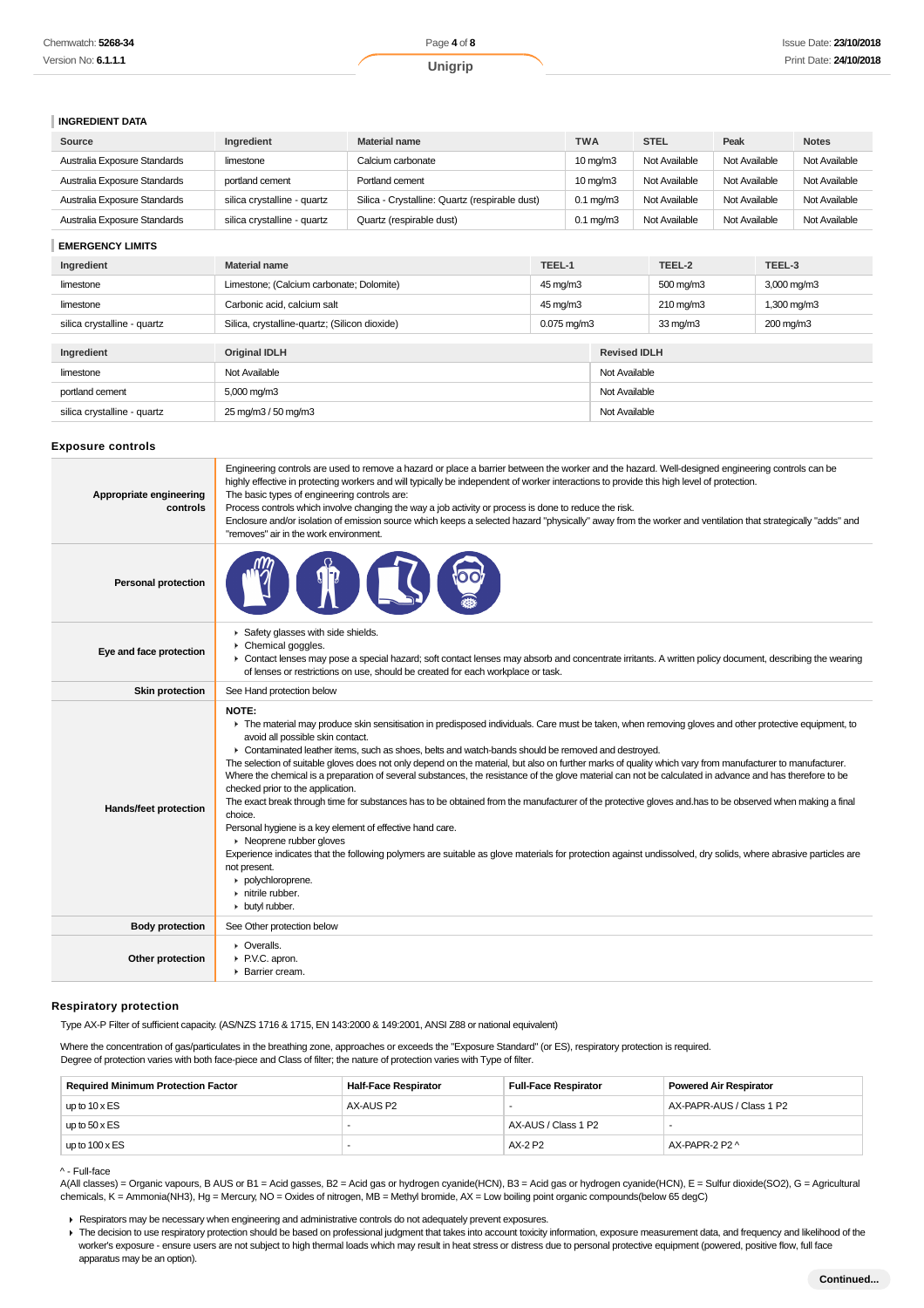| Chemwatch: 5268-34  | Page 4 of 8 | Issue Date: 23/10/2018 |
|---------------------|-------------|------------------------|
| Version No: 6.1.1.1 | Jnigrip     | Print Date: 24/10/2018 |

#### **INGREDIENT DATA**

| Source                       | Ingredient                  | <b>Material name</b>                           | <b>TWA</b>           | <b>STEL</b>   | Peak          | <b>Notes</b>  |
|------------------------------|-----------------------------|------------------------------------------------|----------------------|---------------|---------------|---------------|
| Australia Exposure Standards | limestone                   | Calcium carbonate                              | $10 \text{ mg/m}$    | Not Available | Not Available | Not Available |
| Australia Exposure Standards | portland cement             | Portland cement                                | $10 \text{ mg/m}$    | Not Available | Not Available | Not Available |
| Australia Exposure Standards | silica crystalline - quartz | Silica - Crystalline: Quartz (respirable dust) | $0.1 \text{ ma/m}$ 3 | Not Available | Not Available | Not Available |
| Australia Exposure Standards | silica crystalline - quartz | Quartz (respirable dust)                       | $0.1 \text{ ma/m}$ 3 | Not Available | Not Available | Not Available |

### **EMERGENCY LIMITS**

| Ingredient                  | TEEL-1<br><b>Material name</b>                |                          |                     |                   | TEEL-2             | TEEL-3                  |
|-----------------------------|-----------------------------------------------|--------------------------|---------------------|-------------------|--------------------|-------------------------|
| limestone                   | Limestone; (Calcium carbonate; Dolomite)      | 45 mg/m3                 |                     |                   | 500 mg/m3          | $3,000 \,\mathrm{mg/m}$ |
| limestone                   | Carbonic acid, calcium salt                   | 45 mg/m3                 |                     |                   | $210 \text{ mg/m}$ | 1,300 mg/m3             |
| silica crystalline - quartz | Silica, crystalline-quartz; (Silicon dioxide) | $0.075 \,\mathrm{mq/m3}$ |                     | $33 \text{ mg/m}$ | 200 mg/m3          |                         |
|                             |                                               |                          |                     |                   |                    |                         |
| Ingredient                  | <b>Original IDLH</b>                          |                          | <b>Revised IDLH</b> |                   |                    |                         |
| limestone                   | Not Available                                 |                          |                     | Not Available     |                    |                         |
| portland cement             | 5,000 mg/m3                                   |                          | Not Available       |                   |                    |                         |
| silica crystalline - quartz | 25 mg/m3 / 50 mg/m3                           |                          | Not Available       |                   |                    |                         |

#### **Exposure controls**

| Appropriate engineering<br>controls | Engineering controls are used to remove a hazard or place a barrier between the worker and the hazard. Well-designed engineering controls can be<br>highly effective in protecting workers and will typically be independent of worker interactions to provide this high level of protection.<br>The basic types of engineering controls are:<br>Process controls which involve changing the way a job activity or process is done to reduce the risk.<br>Enclosure and/or isolation of emission source which keeps a selected hazard "physically" away from the worker and ventilation that strategically "adds" and<br>"removes" air in the work environment.                                                                                                                                                                                                                                                                                                                                                                                                                                                                                                                                   |
|-------------------------------------|---------------------------------------------------------------------------------------------------------------------------------------------------------------------------------------------------------------------------------------------------------------------------------------------------------------------------------------------------------------------------------------------------------------------------------------------------------------------------------------------------------------------------------------------------------------------------------------------------------------------------------------------------------------------------------------------------------------------------------------------------------------------------------------------------------------------------------------------------------------------------------------------------------------------------------------------------------------------------------------------------------------------------------------------------------------------------------------------------------------------------------------------------------------------------------------------------|
| <b>Personal protection</b>          |                                                                                                                                                                                                                                                                                                                                                                                                                                                                                                                                                                                                                                                                                                                                                                                                                                                                                                                                                                                                                                                                                                                                                                                                   |
| Eye and face protection             | Safety glasses with side shields.<br>Chemical goggles.<br>• Contact lenses may pose a special hazard; soft contact lenses may absorb and concentrate irritants. A written policy document, describing the wearing<br>of lenses or restrictions on use, should be created for each workplace or task.                                                                                                                                                                                                                                                                                                                                                                                                                                                                                                                                                                                                                                                                                                                                                                                                                                                                                              |
| <b>Skin protection</b>              | See Hand protection below                                                                                                                                                                                                                                                                                                                                                                                                                                                                                                                                                                                                                                                                                                                                                                                                                                                                                                                                                                                                                                                                                                                                                                         |
| Hands/feet protection               | NOTE:<br>F The material may produce skin sensitisation in predisposed individuals. Care must be taken, when removing gloves and other protective equipment, to<br>avoid all possible skin contact.<br>► Contaminated leather items, such as shoes, belts and watch-bands should be removed and destroyed.<br>The selection of suitable gloves does not only depend on the material, but also on further marks of quality which vary from manufacturer to manufacturer.<br>Where the chemical is a preparation of several substances, the resistance of the glove material can not be calculated in advance and has therefore to be<br>checked prior to the application.<br>The exact break through time for substances has to be obtained from the manufacturer of the protective gloves and has to be observed when making a final<br>choice.<br>Personal hygiene is a key element of effective hand care.<br>• Neoprene rubber gloves<br>Experience indicates that the following polymers are suitable as glove materials for protection against undissolved, dry solids, where abrasive particles are<br>not present.<br>polychloroprene.<br>$\triangleright$ nitrile rubber.<br>butyl rubber. |
| <b>Body protection</b>              | See Other protection below                                                                                                                                                                                                                                                                                                                                                                                                                                                                                                                                                                                                                                                                                                                                                                                                                                                                                                                                                                                                                                                                                                                                                                        |
| Other protection                    | • Overalls.<br>▶ P.V.C. apron.<br>▶ Barrier cream.                                                                                                                                                                                                                                                                                                                                                                                                                                                                                                                                                                                                                                                                                                                                                                                                                                                                                                                                                                                                                                                                                                                                                |

#### **Respiratory protection**

Type AX-P Filter of sufficient capacity. (AS/NZS 1716 & 1715, EN 143:2000 & 149:2001, ANSI Z88 or national equivalent)

Where the concentration of gas/particulates in the breathing zone, approaches or exceeds the "Exposure Standard" (or ES), respiratory protection is required. Degree of protection varies with both face-piece and Class of filter; the nature of protection varies with Type of filter.

| <b>Required Minimum Protection Factor</b> | <b>Half-Face Respirator</b> | <b>Full-Face Respirator</b> | <b>Powered Air Respirator</b> |
|-------------------------------------------|-----------------------------|-----------------------------|-------------------------------|
| up to $10 \times ES$                      | AX-AUS P2                   |                             | AX-PAPR-AUS / Class 1 P2      |
| up to $50 \times ES$                      |                             | AX-AUS / Class 1 P2         |                               |
| up to $100 \times ES$                     |                             | AX-2 P2                     | AX-PAPR-2 P2 ^                |

#### ^ - Full-face

A(All classes) = Organic vapours, B AUS or B1 = Acid gasses, B2 = Acid gas or hydrogen cyanide(HCN), B3 = Acid gas or hydrogen cyanide(HCN), E = Sulfur dioxide(SO2), G = Agricultural chemicals, K = Ammonia(NH3), Hg = Mercury, NO = Oxides of nitrogen, MB = Methyl bromide, AX = Low boiling point organic compounds(below 65 degC)

Respirators may be necessary when engineering and administrative controls do not adequately prevent exposures.

The decision to use respiratory protection should be based on professional judgment that takes into account toxicity information, exposure measurement data, and frequency and likelihood of the worker's exposure - ensure users are not subject to high thermal loads which may result in heat stress or distress due to personal protective equipment (powered, positive flow, full face apparatus may be an option).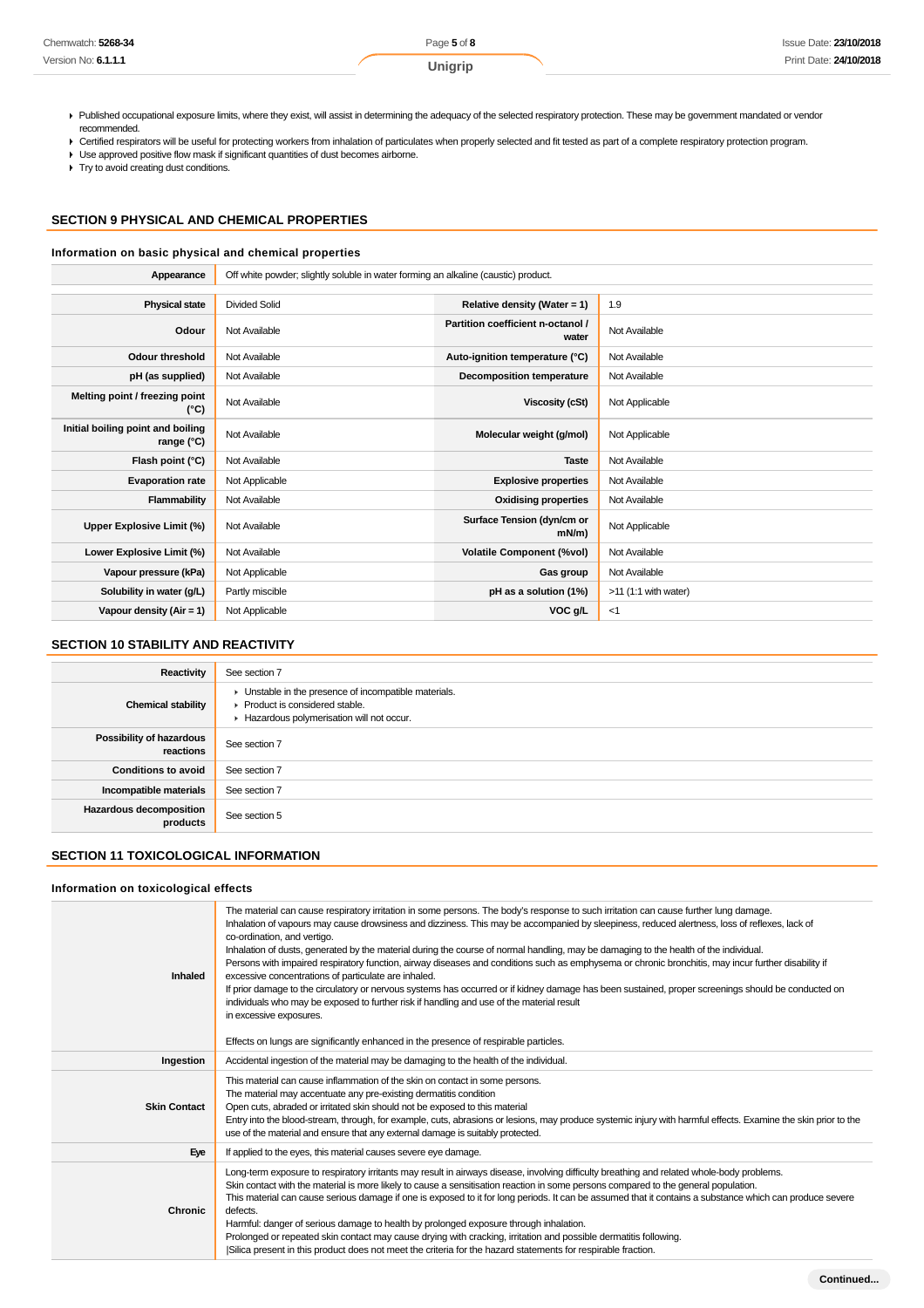| Chemwatch: 5268-34  | Page 5 of 8 | Issue Date: 23/10/2018 |
|---------------------|-------------|------------------------|
| Version No: 6.1.1.1 | Unigrip     | Print Date: 24/10/2018 |

Published occupational exposure limits, where they exist, will assist in determining the adequacy of the selected respiratory protection. These may be government mandated or vendor recommended.

▶ Certified respirators will be useful for protecting workers from inhalation of particulates when properly selected and fit tested as part of a complete respiratory protection program.

Use approved positive flow mask if significant quantities of dust becomes airborne.

Try to avoid creating dust conditions.

### **SECTION 9 PHYSICAL AND CHEMICAL PROPERTIES**

#### **Information on basic physical and chemical properties**

| Appearance                                      | Off white powder; slightly soluble in water forming an alkaline (caustic) product. |                                            |                        |  |  |
|-------------------------------------------------|------------------------------------------------------------------------------------|--------------------------------------------|------------------------|--|--|
|                                                 |                                                                                    |                                            |                        |  |  |
| <b>Physical state</b>                           | <b>Divided Solid</b>                                                               | Relative density (Water = $1$ )            | 1.9                    |  |  |
| Odour                                           | Not Available                                                                      | Partition coefficient n-octanol /<br>water | Not Available          |  |  |
| <b>Odour threshold</b>                          | Not Available                                                                      | Auto-ignition temperature (°C)             | Not Available          |  |  |
| pH (as supplied)                                | Not Available                                                                      | Decomposition temperature                  | Not Available          |  |  |
| Melting point / freezing point<br>(°C)          | Not Available                                                                      | Viscosity (cSt)                            | Not Applicable         |  |  |
| Initial boiling point and boiling<br>range (°C) | Not Available                                                                      | Molecular weight (g/mol)                   | Not Applicable         |  |  |
| Flash point (°C)                                | Not Available                                                                      | <b>Taste</b>                               | Not Available          |  |  |
| <b>Evaporation rate</b>                         | Not Applicable                                                                     | <b>Explosive properties</b>                | Not Available          |  |  |
| Flammability                                    | Not Available                                                                      | <b>Oxidising properties</b>                | Not Available          |  |  |
| Upper Explosive Limit (%)                       | Not Available                                                                      | Surface Tension (dyn/cm or<br>$mN/m$ )     | Not Applicable         |  |  |
| Lower Explosive Limit (%)                       | Not Available                                                                      | <b>Volatile Component (%vol)</b>           | Not Available          |  |  |
| Vapour pressure (kPa)                           | Not Applicable                                                                     | Gas group                                  | Not Available          |  |  |
| Solubility in water (g/L)                       | Partly miscible                                                                    | pH as a solution (1%)                      | $>11$ (1:1 with water) |  |  |
| Vapour density $(Air = 1)$                      | Not Applicable                                                                     | VOC g/L                                    | $<$ 1                  |  |  |

### **SECTION 10 STABILITY AND REACTIVITY**

| Reactivity                                 | See section 7                                                                                                                        |
|--------------------------------------------|--------------------------------------------------------------------------------------------------------------------------------------|
| <b>Chemical stability</b>                  | • Unstable in the presence of incompatible materials.<br>▶ Product is considered stable.<br>Hazardous polymerisation will not occur. |
| Possibility of hazardous<br>reactions      | See section 7                                                                                                                        |
| <b>Conditions to avoid</b>                 | See section 7                                                                                                                        |
| Incompatible materials                     | See section 7                                                                                                                        |
| <b>Hazardous decomposition</b><br>products | See section 5                                                                                                                        |

### **SECTION 11 TOXICOLOGICAL INFORMATION**

#### **Information on toxicological effects**

| Inhaled             | The material can cause respiratory irritation in some persons. The body's response to such irritation can cause further lung damage.<br>Inhalation of vapours may cause drowsiness and dizziness. This may be accompanied by sleepiness, reduced alertness, loss of reflexes, lack of<br>co-ordination, and vertigo.<br>Inhalation of dusts, generated by the material during the course of normal handling, may be damaging to the health of the individual.<br>Persons with impaired respiratory function, airway diseases and conditions such as emphysema or chronic bronchitis, may incur further disability if<br>excessive concentrations of particulate are inhaled.<br>If prior damage to the circulatory or nervous systems has occurred or if kidney damage has been sustained, proper screenings should be conducted on<br>individuals who may be exposed to further risk if handling and use of the material result<br>in excessive exposures.<br>Effects on lungs are significantly enhanced in the presence of respirable particles. |
|---------------------|-----------------------------------------------------------------------------------------------------------------------------------------------------------------------------------------------------------------------------------------------------------------------------------------------------------------------------------------------------------------------------------------------------------------------------------------------------------------------------------------------------------------------------------------------------------------------------------------------------------------------------------------------------------------------------------------------------------------------------------------------------------------------------------------------------------------------------------------------------------------------------------------------------------------------------------------------------------------------------------------------------------------------------------------------------|
| Ingestion           | Accidental ingestion of the material may be damaging to the health of the individual.                                                                                                                                                                                                                                                                                                                                                                                                                                                                                                                                                                                                                                                                                                                                                                                                                                                                                                                                                               |
| <b>Skin Contact</b> | This material can cause inflammation of the skin on contact in some persons.<br>The material may accentuate any pre-existing dermatitis condition<br>Open cuts, abraded or irritated skin should not be exposed to this material<br>Entry into the blood-stream, through, for example, cuts, abrasions or lesions, may produce systemic injury with harmful effects. Examine the skin prior to the<br>use of the material and ensure that any external damage is suitably protected.                                                                                                                                                                                                                                                                                                                                                                                                                                                                                                                                                                |
| Eye                 | If applied to the eyes, this material causes severe eye damage.                                                                                                                                                                                                                                                                                                                                                                                                                                                                                                                                                                                                                                                                                                                                                                                                                                                                                                                                                                                     |
| Chronic             | Long-term exposure to respiratory irritants may result in airways disease, involving difficulty breathing and related whole-body problems.<br>Skin contact with the material is more likely to cause a sensitisation reaction in some persons compared to the general population.<br>This material can cause serious damage if one is exposed to it for long periods. It can be assumed that it contains a substance which can produce severe<br>defects.<br>Harmful: danger of serious damage to health by prolonged exposure through inhalation.<br>Prolonged or repeated skin contact may cause drying with cracking, irritation and possible dermatitis following.<br>Silica present in this product does not meet the criteria for the hazard statements for respirable fraction.                                                                                                                                                                                                                                                              |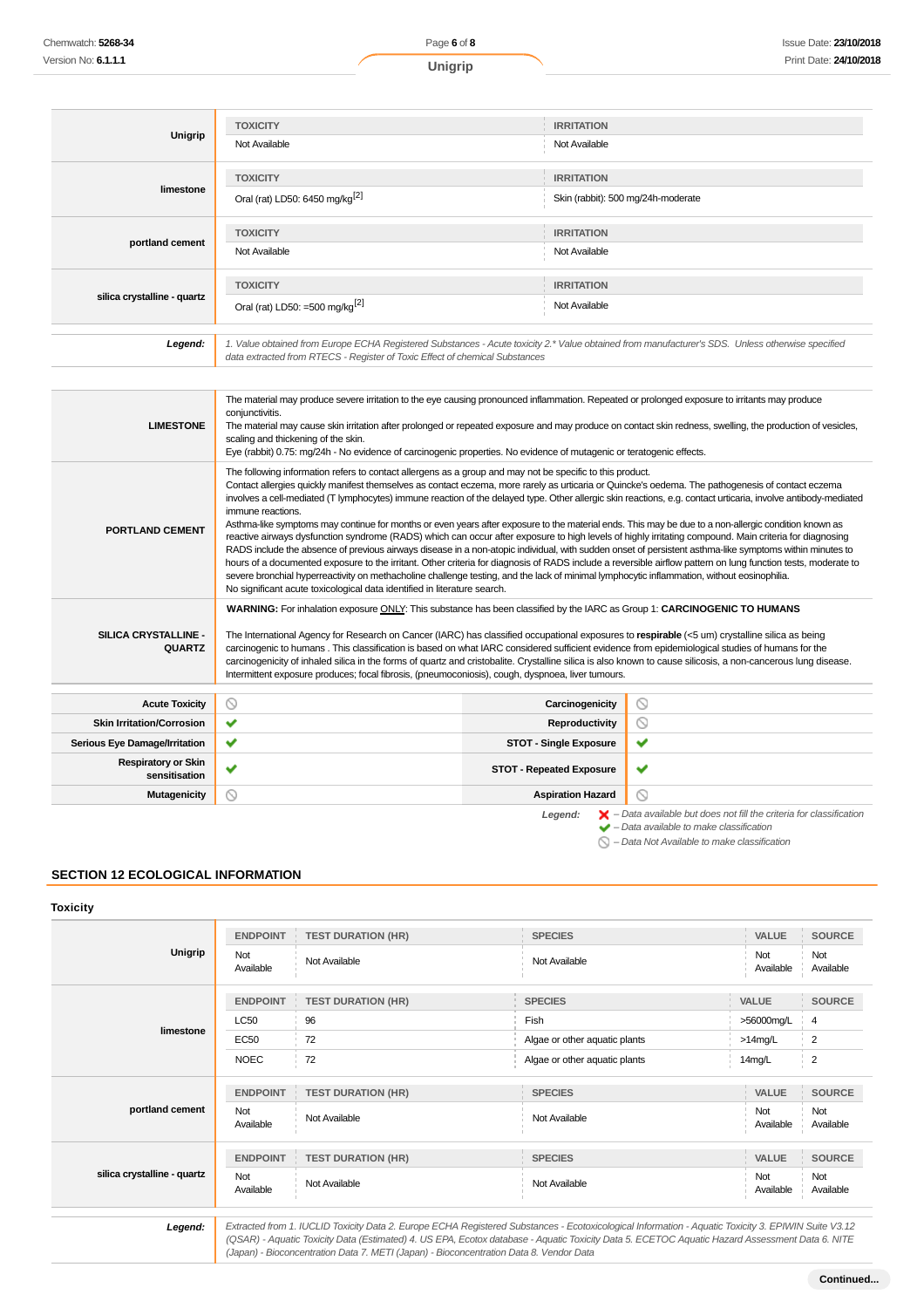Chemwatch: **5268-34** Version No: **6.1.1.1**

| Unigrip                     | <b>TOXICITY</b><br>Not Available                                                                                                                                                                                                | <b>IRRITATION</b><br>Not Available                      |
|-----------------------------|---------------------------------------------------------------------------------------------------------------------------------------------------------------------------------------------------------------------------------|---------------------------------------------------------|
| limestone                   | <b>TOXICITY</b><br>Oral (rat) LD50: 6450 mg/kg <sup>[2]</sup>                                                                                                                                                                   | <b>IRRITATION</b><br>Skin (rabbit): 500 mg/24h-moderate |
| portland cement             | <b>TOXICITY</b><br>Not Available                                                                                                                                                                                                | <b>IRRITATION</b><br>Not Available                      |
| silica crystalline - quartz | <b>TOXICITY</b><br>Oral (rat) LD50: =500 mg/kg <sup>[2]</sup>                                                                                                                                                                   | <b>IRRITATION</b><br>Not Available                      |
|                             |                                                                                                                                                                                                                                 |                                                         |
| Legend:                     | 1. Value obtained from Europe ECHA Registered Substances - Acute toxicity 2.* Value obtained from manufacturer's SDS. Unless otherwise specified<br>data extracted from RTECS - Register of Toxic Effect of chemical Substances |                                                         |

| <b>LIMESTONE</b>                            | The material may produce severe irritation to the eye causing pronounced inflammation. Repeated or prolonged exposure to irritants may produce<br>conjunctivitis.<br>The material may cause skin irritation after prolonged or repeated exposure and may produce on contact skin redness, swelling, the production of vesicles,<br>scaling and thickening of the skin.<br>Eye (rabbit) 0.75: mg/24h - No evidence of carcinogenic properties. No evidence of mutagenic or teratogenic effects.                                                                                                                                                                                                                                                                                                                                                                                                                                                                                                                                                                                                                                                                                                                                                                                                                                 |                 |                                                                                                                                                           |
|---------------------------------------------|--------------------------------------------------------------------------------------------------------------------------------------------------------------------------------------------------------------------------------------------------------------------------------------------------------------------------------------------------------------------------------------------------------------------------------------------------------------------------------------------------------------------------------------------------------------------------------------------------------------------------------------------------------------------------------------------------------------------------------------------------------------------------------------------------------------------------------------------------------------------------------------------------------------------------------------------------------------------------------------------------------------------------------------------------------------------------------------------------------------------------------------------------------------------------------------------------------------------------------------------------------------------------------------------------------------------------------|-----------------|-----------------------------------------------------------------------------------------------------------------------------------------------------------|
| <b>PORTLAND CEMENT</b>                      | The following information refers to contact allergens as a group and may not be specific to this product.<br>Contact allergies quickly manifest themselves as contact eczema, more rarely as urticaria or Quincke's oedema. The pathogenesis of contact eczema<br>involves a cell-mediated (T lymphocytes) immune reaction of the delayed type. Other allergic skin reactions, e.g. contact urticaria, involve antibody-mediated<br>immune reactions.<br>Asthma-like symptoms may continue for months or even years after exposure to the material ends. This may be due to a non-allergic condition known as<br>reactive airways dysfunction syndrome (RADS) which can occur after exposure to high levels of highly irritating compound. Main criteria for diagnosing<br>RADS include the absence of previous airways disease in a non-atopic individual, with sudden onset of persistent asthma-like symptoms within minutes to<br>hours of a documented exposure to the irritant. Other criteria for diagnosis of RADS include a reversible airflow pattern on lung function tests, moderate to<br>severe bronchial hyperreactivity on methacholine challenge testing, and the lack of minimal lymphocytic inflammation, without eosinophilia.<br>No significant acute toxicological data identified in literature search. |                 |                                                                                                                                                           |
| SILICA CRYSTALLINE -<br><b>QUARTZ</b>       | WARNING: For inhalation exposure ONLY: This substance has been classified by the IARC as Group 1: CARCINOGENIC TO HUMANS<br>The International Agency for Research on Cancer (IARC) has classified occupational exposures to respirable (<5 um) crystalline silica as being<br>carcinogenic to humans. This classification is based on what IARC considered sufficient evidence from epidemiological studies of humans for the<br>carcinogenicity of inhaled silica in the forms of quartz and cristobalite. Crystalline silica is also known to cause silicosis, a non-cancerous lung disease.<br>Intermittent exposure produces; focal fibrosis, (pneumoconiosis), cough, dyspnoea, liver tumours.                                                                                                                                                                                                                                                                                                                                                                                                                                                                                                                                                                                                                            |                 |                                                                                                                                                           |
| <b>Acute Toxicity</b>                       | $\circ$                                                                                                                                                                                                                                                                                                                                                                                                                                                                                                                                                                                                                                                                                                                                                                                                                                                                                                                                                                                                                                                                                                                                                                                                                                                                                                                        | Carcinogenicity | ◎                                                                                                                                                         |
| <b>Skin Irritation/Corrosion</b>            | ✔                                                                                                                                                                                                                                                                                                                                                                                                                                                                                                                                                                                                                                                                                                                                                                                                                                                                                                                                                                                                                                                                                                                                                                                                                                                                                                                              | Reproductivity  | $\circledcirc$                                                                                                                                            |
| Serious Eye Damage/Irritation               | ✔<br><b>STOT - Single Exposure</b>                                                                                                                                                                                                                                                                                                                                                                                                                                                                                                                                                                                                                                                                                                                                                                                                                                                                                                                                                                                                                                                                                                                                                                                                                                                                                             |                 | ✔                                                                                                                                                         |
| <b>Respiratory or Skin</b><br>sensitisation | ✔<br><b>STOT - Repeated Exposure</b>                                                                                                                                                                                                                                                                                                                                                                                                                                                                                                                                                                                                                                                                                                                                                                                                                                                                                                                                                                                                                                                                                                                                                                                                                                                                                           |                 | ✔                                                                                                                                                         |
| <b>Mutagenicity</b>                         | $\circ$<br><b>Aspiration Hazard</b>                                                                                                                                                                                                                                                                                                                                                                                                                                                                                                                                                                                                                                                                                                                                                                                                                                                                                                                                                                                                                                                                                                                                                                                                                                                                                            |                 | ര                                                                                                                                                         |
|                                             | Legend:                                                                                                                                                                                                                                                                                                                                                                                                                                                                                                                                                                                                                                                                                                                                                                                                                                                                                                                                                                                                                                                                                                                                                                                                                                                                                                                        |                 | $\blacktriangleright$ - Data available but does not fill the criteria for classification<br>$\blacktriangleright$ - Data available to make classification |

# **SECTION 12 ECOLOGICAL INFORMATION**

### **Toxicity**

| Unigrip                     | <b>ENDPOINT</b>  | <b>TEST DURATION (HR)</b>       | <b>SPECIES</b>                | VALUE            | <b>SOURCE</b>           |
|-----------------------------|------------------|---------------------------------|-------------------------------|------------------|-------------------------|
|                             | Not<br>Available | Not Available                   | Not Available                 | Not<br>Available | Not<br>Available        |
|                             | <b>ENDPOINT</b>  | <b>TEST DURATION (HR)</b><br>л. | <b>SPECIES</b>                | <b>VALUE</b>     | <b>SOURCE</b>           |
|                             | <b>LC50</b>      | 96                              | Fish                          | >56000mg/L       | $\overline{4}$          |
| limestone                   | EC50             | 72                              | Algae or other aquatic plants | $>14$ mg/L       | 2                       |
|                             | <b>NOEC</b>      | 72                              | Algae or other aquatic plants | 14mg/L           | $\overline{2}$          |
| portland cement             | <b>ENDPOINT</b>  | <b>TEST DURATION (HR)</b>       | <b>SPECIES</b>                | VALUE            | <b>SOURCE</b>           |
|                             | Not<br>Available | Not Available                   | Not Available                 | Not<br>Available | <b>Not</b><br>Available |
| silica crystalline - quartz | <b>ENDPOINT</b>  | <b>TEST DURATION (HR)</b>       | <b>SPECIES</b>                | <b>VALUE</b>     | <b>SOURCE</b>           |
|                             | Not<br>Available | Not Available                   | Not Available                 | Not<br>Available | <b>Not</b><br>Available |

(Japan) - Bioconcentration Data 7. METI (Japan) - Bioconcentration Data 8. Vendor Data

 $\sum -$  Data Not Available to make classification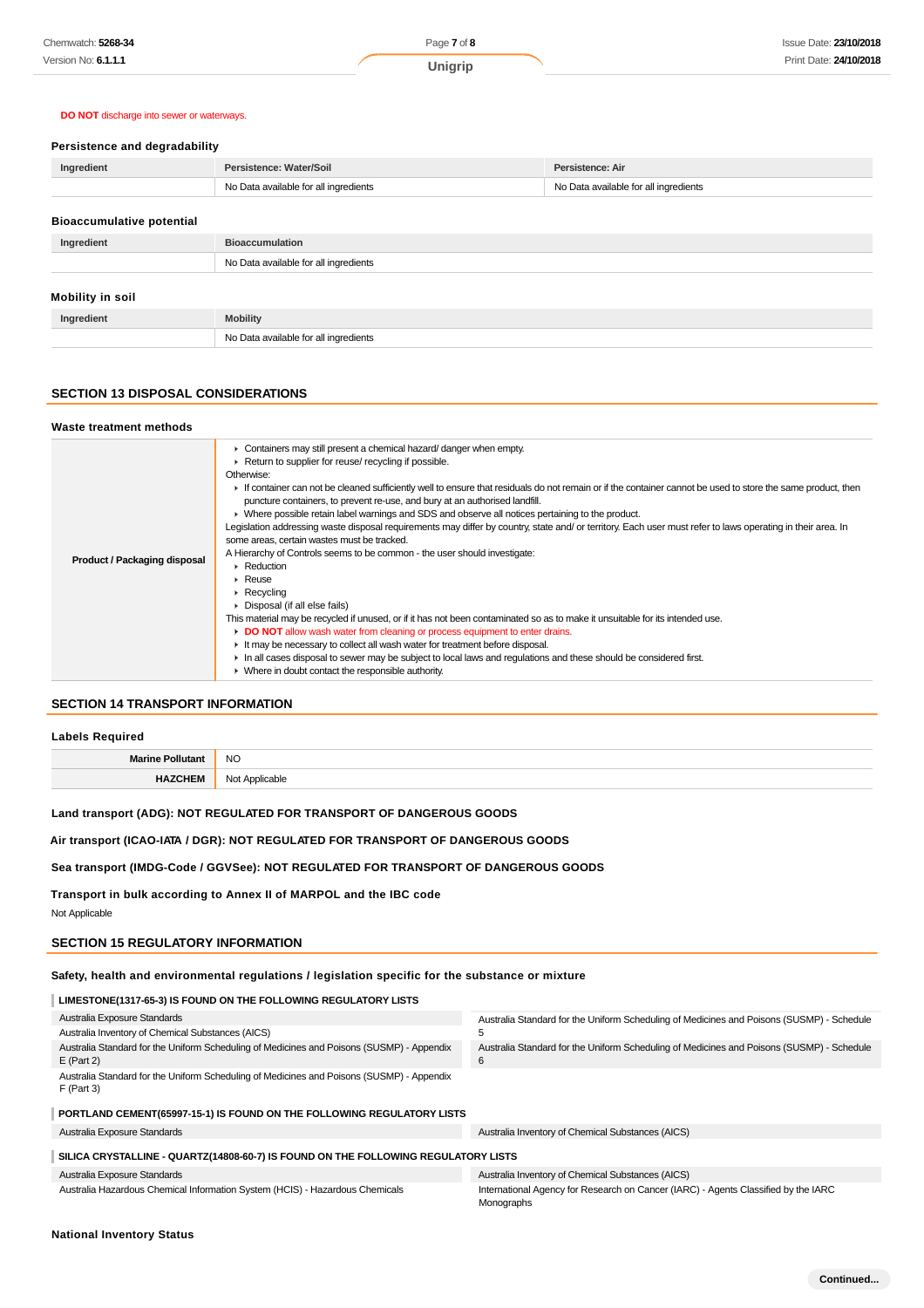### **DO NOT** discharge into sewer or waterways.

#### **Persistence and degradability**

| Ingredient | Persistence: Water/Soil               | Persistence: Air                      |
|------------|---------------------------------------|---------------------------------------|
|            | No Data available for all ingredients | No Data available for all ingredients |
|            |                                       |                                       |

| <b>Bioaccumulative potential</b> |                                       |  |
|----------------------------------|---------------------------------------|--|
| Ingredient                       | <b>Bioaccumulation</b>                |  |
|                                  | No Data available for all ingredients |  |
|                                  |                                       |  |
| Mobility in soil                 |                                       |  |
| Ingredient                       | <b>Mobility</b>                       |  |
|                                  | No Data available for all ingredients |  |

### **SECTION 13 DISPOSAL CONSIDERATIONS**

#### **Waste treatment methods**

| Product / Packaging disposal | • Containers may still present a chemical hazard/ danger when empty.<br>Return to supplier for reuse/ recycling if possible.<br>Otherwise:<br>If container can not be cleaned sufficiently well to ensure that residuals do not remain or if the container cannot be used to store the same product, then<br>puncture containers, to prevent re-use, and bury at an authorised landfill.<br>• Where possible retain label warnings and SDS and observe all notices pertaining to the product.<br>Legislation addressing waste disposal requirements may differ by country, state and/ or territory. Each user must refer to laws operating in their area. In<br>some areas, certain wastes must be tracked.<br>A Hierarchy of Controls seems to be common - the user should investigate:<br>$\triangleright$ Reduction<br>$\triangleright$ Reuse<br>$\triangleright$ Recycling<br>▶ Disposal (if all else fails)<br>This material may be recycled if unused, or if it has not been contaminated so as to make it unsuitable for its intended use.<br>DO NOT allow wash water from cleaning or process equipment to enter drains.<br>It may be necessary to collect all wash water for treatment before disposal.<br>In all cases disposal to sewer may be subject to local laws and regulations and these should be considered first.<br>$\blacktriangleright$ Where in doubt contact the responsible authority. |
|------------------------------|------------------------------------------------------------------------------------------------------------------------------------------------------------------------------------------------------------------------------------------------------------------------------------------------------------------------------------------------------------------------------------------------------------------------------------------------------------------------------------------------------------------------------------------------------------------------------------------------------------------------------------------------------------------------------------------------------------------------------------------------------------------------------------------------------------------------------------------------------------------------------------------------------------------------------------------------------------------------------------------------------------------------------------------------------------------------------------------------------------------------------------------------------------------------------------------------------------------------------------------------------------------------------------------------------------------------------------------------------------------------------------------------------------------|
|------------------------------|------------------------------------------------------------------------------------------------------------------------------------------------------------------------------------------------------------------------------------------------------------------------------------------------------------------------------------------------------------------------------------------------------------------------------------------------------------------------------------------------------------------------------------------------------------------------------------------------------------------------------------------------------------------------------------------------------------------------------------------------------------------------------------------------------------------------------------------------------------------------------------------------------------------------------------------------------------------------------------------------------------------------------------------------------------------------------------------------------------------------------------------------------------------------------------------------------------------------------------------------------------------------------------------------------------------------------------------------------------------------------------------------------------------|

### **SECTION 14 TRANSPORT INFORMATION**

#### **Labels Required**

| the contract of the contract of the | NΟ     |
|-------------------------------------|--------|
|                                     | $\sim$ |
|                                     | <br>.  |

### **Land transport (ADG): NOT REGULATED FOR TRANSPORT OF DANGEROUS GOODS**

### **Air transport (ICAO-IATA / DGR): NOT REGULATED FOR TRANSPORT OF DANGEROUS GOODS**

#### **Sea transport (IMDG-Code / GGVSee): NOT REGULATED FOR TRANSPORT OF DANGEROUS GOODS**

**Transport in bulk according to Annex II of MARPOL and the IBC code** Not Applicable

#### **SECTION 15 REGULATORY INFORMATION**

### **Safety, health and environmental regulations / legislation specific for the substance or mixture**

#### **LIMESTONE(1317-65-3) IS FOUND ON THE FOLLOWING REGULATORY LISTS**

| Australia Exposure Standards                                                                              | Australia Standard for the Uniform Scheduling of Medicines and Poisons (SUSMP) - Schedule        |
|-----------------------------------------------------------------------------------------------------------|--------------------------------------------------------------------------------------------------|
| Australia Inventory of Chemical Substances (AICS)                                                         | 5                                                                                                |
| Australia Standard for the Uniform Scheduling of Medicines and Poisons (SUSMP) - Appendix<br>$E$ (Part 2) | Australia Standard for the Uniform Scheduling of Medicines and Poisons (SUSMP) - Schedule<br>6   |
| Australia Standard for the Uniform Scheduling of Medicines and Poisons (SUSMP) - Appendix<br>$F$ (Part 3) |                                                                                                  |
| PORTLAND CEMENT (65997-15-1) IS FOUND ON THE FOLLOWING REGULATORY LISTS                                   |                                                                                                  |
| Australia Exposure Standards                                                                              | Australia Inventory of Chemical Substances (AICS)                                                |
| SILICA CRYSTALLINE - QUARTZ(14808-60-7) IS FOUND ON THE FOLLOWING REGULATORY LISTS                        |                                                                                                  |
| Australia Exposure Standards                                                                              | Australia Inventory of Chemical Substances (AICS)                                                |
| Australia Hazardous Chemical Information System (HCIS) - Hazardous Chemicals                              | International Agency for Research on Cancer (IARC) - Agents Classified by the IARC<br>Monographs |